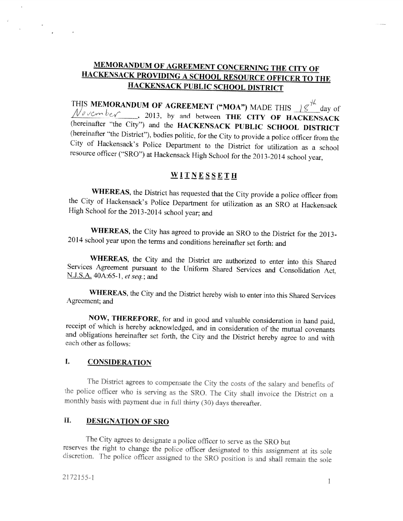# MEMORANDUM OF AGREEMENT CONCERNING THE CITY OF HACKENSACK PROVIDING <sup>A</sup> SCHOOL RESOURCE OFFICER TO THE HACKENSACK PUBLIC SCHOOL DISTRICT

THIS MEMORANDUM OF AGREEMENT ("MOA") MADE THIS  $18\frac{1}{6}$  day of  $\frac{1}{2}$  day of  $\frac{1}{2}$  day  $\frac{1}{2}$  day  $\frac{1}{2}$  day  $\frac{1}{2}$  day  $\frac{1}{2}$  day  $\frac{1}{2}$  day  $\frac{1}{2}$  day  $\frac{1}{2}$  day  $\frac{1}{2}$  day  $\frac{1}{2}$  da (hereinafter "the City") and the HACKENSACK PUBLIC SCHOOL DISTRICT<br>(hereinafter "the District"), bodies politic, for the City to provide a police officer from the City of Hackensack's Police Department to the District for utilization as a school resource officer ("SRO") at Hackensack High School for the <sup>20</sup> 13-2014 school year,

## WITNESSETH

WHEREAS, the District has requested that the City provide a police officer from the City of Hackensack's Police Department for utilization as an SRO at Hackensack High School for the 2013-2014 school year; and

WHEREAS, the City has agreed to provide an SRO to the District for the 2013-<sup>2014</sup> school year upon the terms and conditions hereinafter set forth: and

WHEREAS, the City and the District are authorized to enter into this Shared Services Agreement pursuant to the Uniform Shared Services and Consolidation Act, N.J.S.A. 40A:65-1, *et seq.*; and

WHEREAS, the City and the District hereby wish to enter into this Shared Services Agreement; and

NOW, THEREFORE, for and in good and valuable consideration in hand paid, receipt of which is hereby acknowledged, and in consideration of the mutual covenants and obligations hereinafter set forth, the City and the Distric

## I. CONSIDERATION

The District agrees to compensate the City the costs of the salary and benefits of the police officer who is serving as the SRO. The City shall invoice the District on a monthly basis with payment due in full thirty (30) days thereafter.

## II. DESIGNATION OF SRO

The City agrees to designate a police officer to serve as the SRO but<br>reserves the right to change the police officer designated to this assignment at its sole discretion. The police officer assigned to the SRO position is and shall remain the sole

V.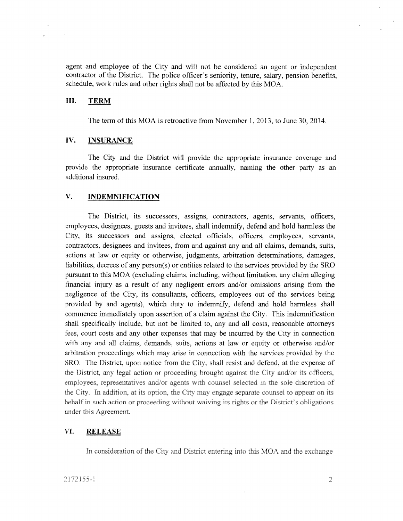agen<sup>t</sup> and employee of the City and will not be considered an agen<sup>t</sup> or independent contractor of the District. The police officer's seniority, tenure, salary. pension benefits, schedule, work rules and other rights shall not be affected by this MOA.

### 111. TERM

 $\sim$   $\sim$ 

 $\sim$ 

The term of this MOA is retroactive from November 1, 2013, to June 30, 2014.

### IV. INSURANCE

The City and the District will provide the appropriate insurance coverage and provide the appropriate insurance certificate annually, naming the other party as an additional insured.

### V. INDEMNIFICATION

The District, its successors, assigns, contractors, agents, servants, officers, employees, designees, guests and invitees, shall indemnify, defend and hold harmless the City, its successors and assigns, elected officials, officers, employees, servants, contractors, designees and invitees, from and against any and all claims, demands, suits, actions at law or equity or otherwise, judgments, arbitration determinations, damages, liabilities, decrees of any person(s) or entities related to the services provided by the SRO pursuan<sup>t</sup> to this MOA (excluding claims, including, without limitation, any claim alleging financial injury as <sup>a</sup> result of any negligent errors and/or omissions arising from the negligence of the City, its consultants, officers, employees out of the services being provided by and agents), which duty to indemnify, defend and hold harmless shall commence immediately upon assertion of <sup>a</sup> claim against the City. This indenmification shall specifically include, but not be limited to, any and all costs, reasonable attorneys fees, court costs and any other expenses that may be incurred by the City in connection with any and all claims, demands, suits, actions at law or equity or otherwise and/or arbitration proceedings which may arise in connection with the services provided by the SRO. The District upon notice from the City, shall resist and defend, at the expense of the District, any legal action or proceeding brought against the City and/or its officers, employees, representatives and/or agents with counsel selected in the sole discretion of the City. in addition, at its option, the City may engage separate counsel to appear on its behalf in such action or proceeding without waiving its rights or the District's obligations under this Agreement.

### VI. RELEASE

In consideration of the City and District entering into this MOA and the exchange

 $\bar{K}$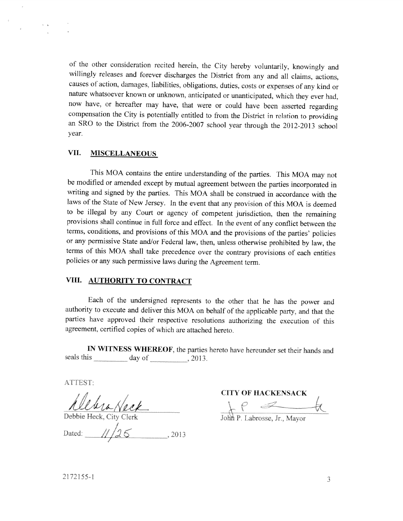of the other consideration recited herein, the City hereby voluntarily, knowingly and willingly releases and forever discharges the District from any and all claims, actions, causes of action, damages, liabilities, obligations, duties, costs or expenses of any kind or nature whatsoever known or unknown, anticipated or unanticipated. which they ever had, now have, or hereafter may have, that were or could have been asserted regarding compensation the City is potentially entitled to from the District in relation to providing an SRO to the District from the 2006-2007 school year through the 2012-20 <sup>13</sup> school Year.

### VII. MISCELLANEOUS

This MOA contains the entire understanding of the parties. This MOA may not be modified or amended except by mutual agreement between the parties incorporated in writing and signed by the parties. This MOA shall be construed in accordance with the laws of the State of New Jersey. In the event that any provision of this MOA is deemed to be illegal by any Court or agency of competent jurisdiction, then the remaining provisions shall continue in full force and effect. In the event of any conflict between the terms, conditions, and provisions of this MOA and the provisions of the parties' policies or any permissive State and/or Federal law, then, unless otherwise prohibited by law, the terms of this MOA shall take precedence over the contrary provisions of each entities policies or any such permissive laws during the Agreement term.

### VIII. AUTHORITY TO CONTRACT

Each of the undersigned represents to the other that he has the power and authority to execute and deliver this MOA on behalf of the applicable party. and that the parties have approved their respective resolutions authorizing the execution of this agreement. certified copies of which are attached hereto.

IN WITNESS WHEREOF, the parties hereto have hereunder set their hands and seals this  $\_\_\_\_\_\$  day of  $\_\_\_\_\_$ , 2013.

ATTEST:

Dated:  $1/26$ 2013

CITY OF HACKENSACK Debbie Heck, City Clerk John P. Labrosse, Jr., Mayor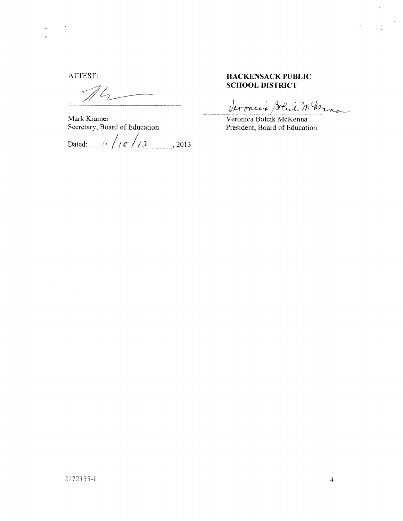$\mathcal{L}_{2}$ 

Mark Kramer Veronica Bolcik McKenna Secretary, Board of Education President, Board of Education

Dated:  $1/\sqrt{e^{2}/3}$ , 2013

# ATTEST: HACKENSACK PUBLIC HACKENSACK PUB<br>SCHOOL DISTRICT

Veroncia Solai mckerno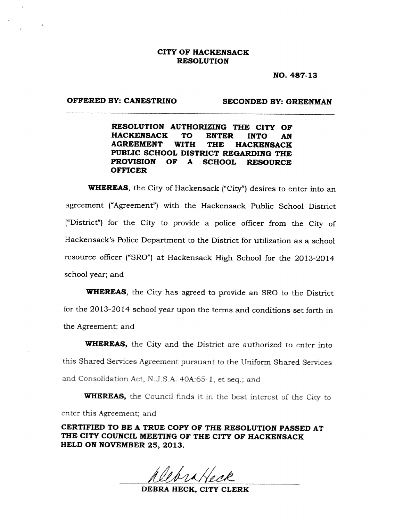### CITY OF HACKENSACK RESOLUTION

NO. 487-13

### OFFERED BY: CANESTRINO SECONDED BY: GREENMAN

RESOLUTION AUTHORIZING THE CITY OF HACKENSACK To ENTER INTO AN AGREEMENT WITH THE HACKENSACK PUBLIC SCHOOL DISTRICT REGARDING THE PROVISION OF A SCHOOL RESOURCE **OFFICER** 

WHEREAS, the City of Hackensack ("City") desires to enter into an agreement ("Agreement") with the Hackensack Public School District ("District") for the City to provide <sup>a</sup> police officer from the City of Hackensack's Police Department to the District for utilization as <sup>a</sup> school resource officer ("SRO") at Hackensack High School for the 2013-2014 school year; and

WHEREAS, the City has agreed to provide an SRO to the District for the 2013-2014 school year upon the terms and conditions set forth in the Agreement; and

WHEREAS, the City and the District are authorized to enter into this Shared Services Agreement pursuant to the Uniform Shared Services and Consolidation Act, N.J.S.A. 40A:65-1, et seq.; and

WHEREAS, the Council finds it in the best interest of the City to enter this Agreement; and

CERTIFIED TO BE A TRUE COPY OF THE RESOLUTION PASSED AT THE CITY COUNCIL MEETING OF THE CITY OF HACKENSACK HELD ON NOVEMBER 25, 2013.

DEBRA HECK, CITY CLERK